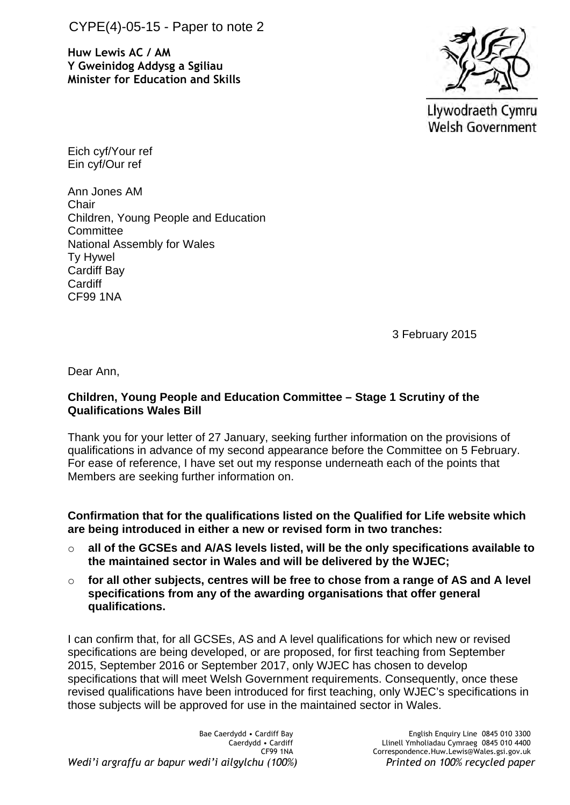CYPE(4)-05-15 - Paper to note 2

**Huw Lewis AC / AM Y Gweinidog Addysg a Sgiliau Minister for Education and Skills**



Llywodraeth Cymru **Welsh Government** 

Eich cyf/Your ref Ein cyf/Our ref

Ann Jones AM **Chair** Children, Young People and Education **Committee** National Assembly for Wales Ty Hywel Cardiff Bay **Cardiff** CF99 1NA

3 February 2015

Dear Ann,

## **Children, Young People and Education Committee – Stage 1 Scrutiny of the Qualifications Wales Bill**

Thank you for your letter of 27 January, seeking further information on the provisions of qualifications in advance of my second appearance before the Committee on 5 February. For ease of reference, I have set out my response underneath each of the points that Members are seeking further information on.

**Confirmation that for the qualifications listed on the Qualified for Life website which are being introduced in either a new or revised form in two tranches:**

- o **all of the GCSEs and A/AS levels listed, will be the only specifications available to the maintained sector in Wales and will be delivered by the WJEC;**
- o **for all other subjects, centres will be free to chose from a range of AS and A level specifications from any of the awarding organisations that offer general qualifications.**

I can confirm that, for all GCSEs, AS and A level qualifications for which new or revised specifications are being developed, or are proposed, for first teaching from September 2015, September 2016 or September 2017, only WJEC has chosen to develop specifications that will meet Welsh Government requirements. Consequently, once these revised qualifications have been introduced for first teaching, only WJEC's specifications in those subjects will be approved for use in the maintained sector in Wales.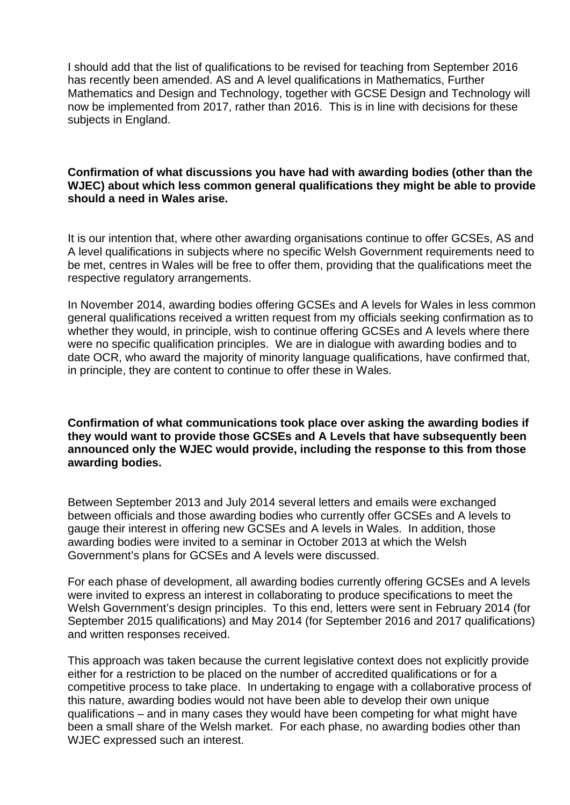I should add that the list of qualifications to be revised for teaching from September 2016 has recently been amended. AS and A level qualifications in Mathematics, Further Mathematics and Design and Technology, together with GCSE Design and Technology will now be implemented from 2017, rather than 2016. This is in line with decisions for these subjects in England.

## **Confirmation of what discussions you have had with awarding bodies (other than the WJEC) about which less common general qualifications they might be able to provide should a need in Wales arise.**

It is our intention that, where other awarding organisations continue to offer GCSEs, AS and A level qualifications in subjects where no specific Welsh Government requirements need to be met, centres in Wales will be free to offer them, providing that the qualifications meet the respective regulatory arrangements.

In November 2014, awarding bodies offering GCSEs and A levels for Wales in less common general qualifications received a written request from my officials seeking confirmation as to whether they would, in principle, wish to continue offering GCSEs and A levels where there were no specific qualification principles. We are in dialogue with awarding bodies and to date OCR, who award the majority of minority language qualifications, have confirmed that, in principle, they are content to continue to offer these in Wales.

**Confirmation of what communications took place over asking the awarding bodies if they would want to provide those GCSEs and A Levels that have subsequently been announced only the WJEC would provide, including the response to this from those awarding bodies.**

Between September 2013 and July 2014 several letters and emails were exchanged between officials and those awarding bodies who currently offer GCSEs and A levels to gauge their interest in offering new GCSEs and A levels in Wales. In addition, those awarding bodies were invited to a seminar in October 2013 at which the Welsh Government's plans for GCSEs and A levels were discussed.

For each phase of development, all awarding bodies currently offering GCSEs and A levels were invited to express an interest in collaborating to produce specifications to meet the Welsh Government's design principles. To this end, letters were sent in February 2014 (for September 2015 qualifications) and May 2014 (for September 2016 and 2017 qualifications) and written responses received.

This approach was taken because the current legislative context does not explicitly provide either for a restriction to be placed on the number of accredited qualifications or for a competitive process to take place. In undertaking to engage with a collaborative process of this nature, awarding bodies would not have been able to develop their own unique qualifications – and in many cases they would have been competing for what might have been a small share of the Welsh market. For each phase, no awarding bodies other than WJEC expressed such an interest.